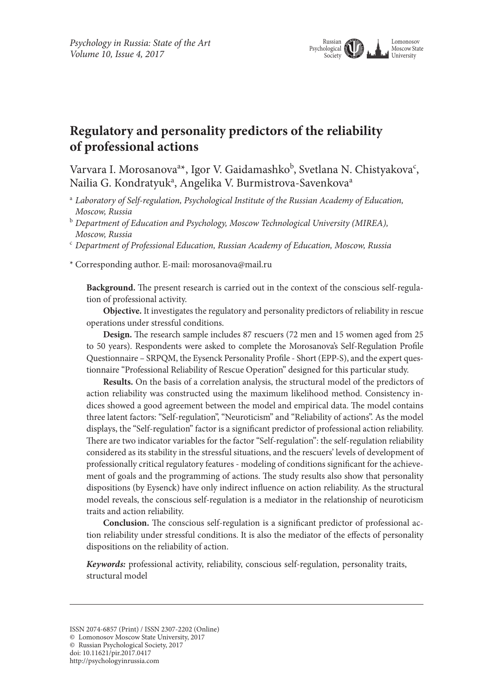

# **Regulatory and personality predictors of the reliability of professional actions**

Varvara I. Morosanova<sup>a\*</sup>, Igor V. Gaidamashko<sup>b</sup>, Svetlana N. Chistyakova<sup>c</sup>, Nailia G. Kondratyuk<sup>a</sup>, Angelika V. Burmistrova-Savenkova<sup>a</sup>

- <sup>a</sup> *Laboratory of Self-regulation, Psychological Institute of the Russian Academy of Education, Moscow, Russia*
- <sup>b</sup> *Department of Education and Psychology, Moscow Technological University (MIREA), Moscow, Russia*
- <sup>c</sup> *Department of Professional Education, Russian Academy of Education, Moscow, Russia*

\* Corresponding author. E-mail: morosanova@mail.ru

**Background.** The present research is carried out in the context of the conscious self-regulation of professional activity.

**Objective.** It investigates the regulatory and personality predictors of reliability in rescue operations under stressful conditions.

**Design.** The research sample includes 87 rescuers (72 men and 15 women aged from 25 to 50 years). Respondents were asked to complete the Morosanova's Self-Regulation Profile Questionnaire – SRPQM, the Eysenck Personality Profile - Short (EPP-S), and the expert questionnaire "Professional Reliability of Rescue Operation" designed for this particular study.

**Results.** On the basis of a correlation analysis, the structural model of the predictors of action reliability was constructed using the maximum likelihood method. Consistency indices showed a good agreement between the model and empirical data. The model contains three latent factors: "Self-regulation", "Neuroticism" and "Reliability of actions". As the model displays, the "Self-regulation" factor is a significant predictor of professional action reliability. There are two indicator variables for the factor "Self-regulation": the self-regulation reliability considered as its stability in the stressful situations, and the rescuers' levels of development of professionally critical regulatory features - modeling of conditions significant for the achievement of goals and the programming of actions. The study results also show that personality dispositions (by Eysenck) have only indirect influence on action reliability. As the structural model reveals, the conscious self-regulation is a mediator in the relationship of neuroticism traits and action reliability.

**Conclusion.** The conscious self-regulation is a significant predictor of professional action reliability under stressful conditions. It is also the mediator of the effects of personality dispositions on the reliability of action.

*Keywords:* professional activity, reliability, conscious self-regulation, personality traits, structural model

doi: 10.11621/pir.2017.0417

ISSN 2074-6857 (Print) / ISSN 2307-2202 (Online)

<sup>©</sup> Lomonosov Moscow State University, 2017

<sup>©</sup> Russian Psychological Society, 2017

http://psychologyinrussia.com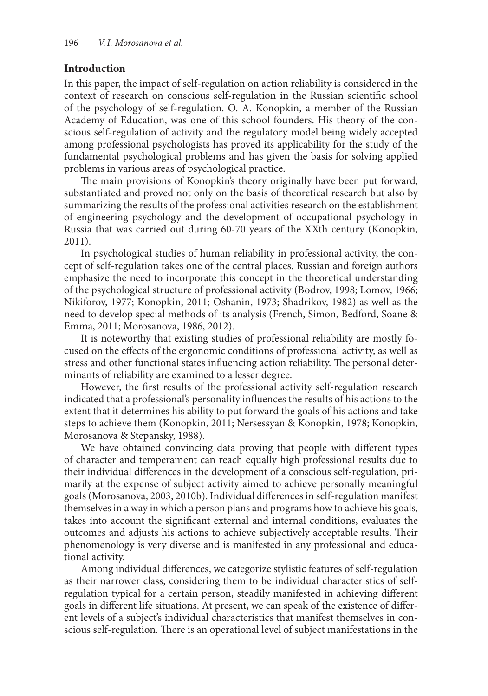### **Introduction**

In this paper, the impact of self-regulation on action reliability is considered in the context of research on conscious self-regulation in the Russian scientific school of the psychology of self-regulation. O. A. Konopkin, a member of the Russian Academy of Education, was one of this school founders. His theory of the conscious self-regulation of activity and the regulatory model being widely accepted among professional psychologists has proved its applicability for the study of the fundamental psychological problems and has given the basis for solving applied problems in various areas of psychological practice.

The main provisions of Konopkin's theory originally have been put forward, substantiated and proved not only on the basis of theoretical research but also by summarizing the results of the professional activities research on the establishment of engineering psychology and the development of occupational psychology in Russia that was carried out during 60-70 years of the XXth century (Konopkin, 2011).

In psychological studies of human reliability in professional activity, the concept of self-regulation takes one of the central places. Russian and foreign authors emphasize the need to incorporate this concept in the theoretical understanding of the psychological structure of professional activity (Bodrov, 1998; Lomov, 1966; Nikiforov, 1977; Konopkin, 2011; Oshanin, 1973; Shadrikov, 1982) as well as the need to develop special methods of its analysis (French, Simon, Bedford, Soane & Emma, 2011; Morosanova, 1986, 2012).

It is noteworthy that existing studies of professional reliability are mostly focused on the effects of the ergonomic conditions of professional activity, as well as stress and other functional states influencing action reliability. The personal determinants of reliability are examined to a lesser degree.

However, the first results of the professional activity self-regulation research indicated that a professional's personality influences the results of his actions to the extent that it determines his ability to put forward the goals of his actions and take steps to achieve them (Konopkin, 2011; Nersessyan & Konopkin, 1978; Konopkin, Morosanova & Stepansky, 1988).

We have obtained convincing data proving that people with different types of character and temperament can reach equally high professional results due to their individual differences in the development of a conscious self-regulation, primarily at the expense of subject activity aimed to achieve personally meaningful goals (Morosanova, 2003, 2010b). Individual differences in self-regulation manifest themselves in a way in which a person plans and programs how to achieve his goals, takes into account the significant external and internal conditions, evaluates the outcomes and adjusts his actions to achieve subjectively acceptable results. Their phenomenology is very diverse and is manifested in any professional and educational activity.

Among individual differences, we categorize stylistic features of self-regulation as their narrower class, considering them to be individual characteristics of selfregulation typical for a certain person, steadily manifested in achieving different goals in different life situations. At present, we can speak of the existence of different levels of a subject's individual characteristics that manifest themselves in conscious self-regulation. There is an operational level of subject manifestations in the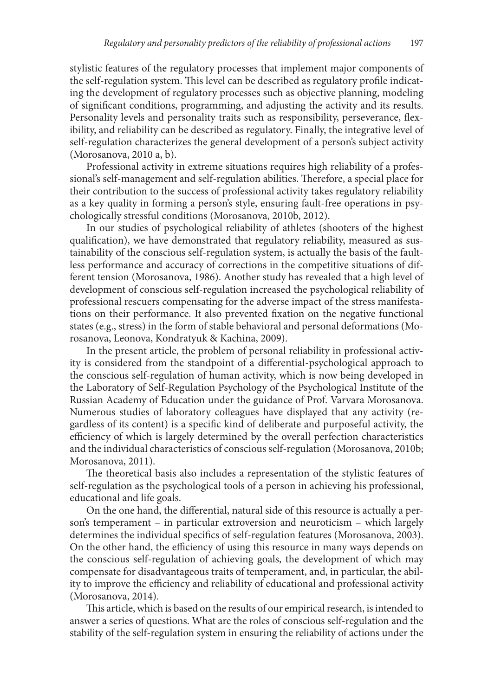stylistic features of the regulatory processes that implement major components of the self-regulation system. This level can be described as regulatory profile indicating the development of regulatory processes such as objective planning, modeling of significant conditions, programming, and adjusting the activity and its results. Personality levels and personality traits such as responsibility, perseverance, flexibility, and reliability can be described as regulatory. Finally, the integrative level of self-regulation characterizes the general development of a person's subject activity (Morosanova, 2010 a, b).

Professional activity in extreme situations requires high reliability of a professional's self-management and self-regulation abilities. Therefore, a special place for their contribution to the success of professional activity takes regulatory reliability as a key quality in forming a person's style, ensuring fault-free operations in psychologically stressful conditions (Morosanova, 2010b, 2012).

In our studies of psychological reliability of athletes (shooters of the highest qualification), we have demonstrated that regulatory reliability, measured as sustainability of the conscious self-regulation system, is actually the basis of the faultless performance and accuracy of corrections in the competitive situations of different tension (Morosanova, 1986). Another study has revealed that a high level of development of conscious self-regulation increased the psychological reliability of professional rescuers compensating for the adverse impact of the stress manifestations on their performance. It also prevented fixation on the negative functional states (e.g., stress) in the form of stable behavioral and personal deformations (Morosanova, Leonova, Kondratyuk & Kachina, 2009).

In the present article, the problem of personal reliability in professional activity is considered from the standpoint of a differential-psychological approach to the conscious self-regulation of human activity, which is now being developed in the Laboratory of Self-Regulation Psychology of the Psychological Institute of the Russian Academy of Education under the guidance of Prof. Varvara Morosanova. Numerous studies of laboratory colleagues have displayed that any activity (regardless of its content) is a specific kind of deliberate and purposeful activity, the efficiency of which is largely determined by the overall perfection characteristics and the individual characteristics of conscious self-regulation (Morosanova, 2010b; Morosanova, 2011).

The theoretical basis also includes a representation of the stylistic features of self-regulation as the psychological tools of a person in achieving his professional, educational and life goals.

On the one hand, the differential, natural side of this resource is actually a person's temperament – in particular extroversion and neuroticism – which largely determines the individual specifics of self-regulation features (Morosanova, 2003). On the other hand, the efficiency of using this resource in many ways depends on the conscious self-regulation of achieving goals, the development of which may compensate for disadvantageous traits of temperament, and, in particular, the ability to improve the efficiency and reliability of educational and professional activity (Morosanova, 2014).

This article, which is based on the results of our empirical research, is intended to answer a series of questions. What are the roles of conscious self-regulation and the stability of the self-regulation system in ensuring the reliability of actions under the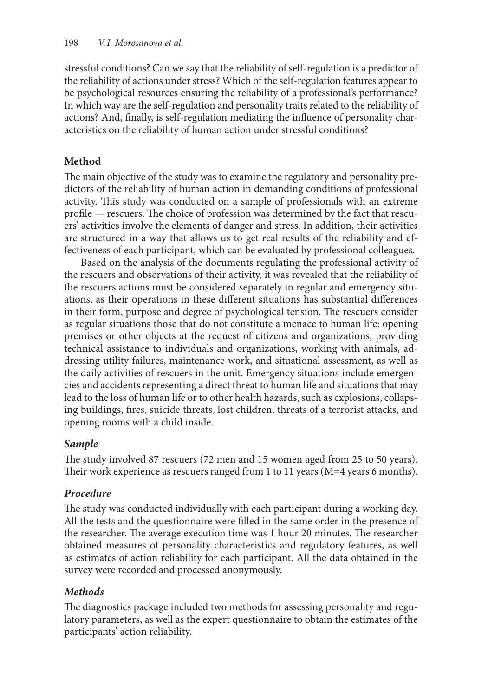stressful conditions? Can we say that the reliability of self-regulation is a predictor of the reliability of actions under stress? Which of the self-regulation features appear to be psychological resources ensuring the reliability of a professional's performance? In which way are the self-regulation and personality traits related to the reliability of actions? And, finally, is self-regulation mediating the influence of personality characteristics on the reliability of human action under stressful conditions?

### **Method**

The main objective of the study was to examine the regulatory and personality predictors of the reliability of human action in demanding conditions of professional activity. This study was conducted on a sample of professionals with an extreme profile — rescuers. The choice of profession was determined by the fact that rescuers' activities involve the elements of danger and stress. In addition, their activities are structured in a way that allows us to get real results of the reliability and effectiveness of each participant, which can be evaluated by professional colleagues.

Based on the analysis of the documents regulating the professional activity of the rescuers and observations of their activity, it was revealed that the reliability of the rescuers actions must be considered separately in regular and emergency situations, as their operations in these different situations has substantial differences in their form, purpose and degree of psychological tension. The rescuers consider as regular situations those that do not constitute a menace to human life: opening premises or other objects at the request of citizens and organizations, providing technical assistance to individuals and organizations, working with animals, addressing utility failures, maintenance work, and situational assessment, as well as the daily activities of rescuers in the unit. Emergency situations include emergencies and accidents representing a direct threat to human life and situations that may lead to the loss of human life or to other health hazards, such as explosions, collapsing buildings, fires, suicide threats, lost children, threats of a terrorist attacks, and opening rooms with a child inside.

## *Sample*

The study involved 87 rescuers (72 men and 15 women aged from 25 to 50 years). Their work experience as rescuers ranged from 1 to 11 years (M=4 years 6 months).

## *Procedure*

The study was conducted individually with each participant during a working day. All the tests and the questionnaire were filled in the same order in the presence of the researcher. The average execution time was 1 hour 20 minutes. The researcher obtained measures of personality characteristics and regulatory features, as well as estimates of action reliability for each participant. All the data obtained in the survey were recorded and processed anonymously.

## *Methods*

The diagnostics package included two methods for assessing personality and regulatory parameters, as well as the expert questionnaire to obtain the estimates of the participants' action reliability.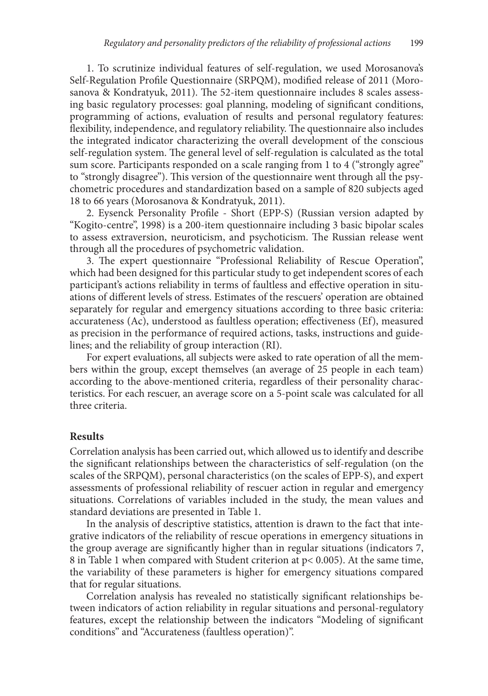1. To scrutinize individual features of self-regulation, we used Morosanova's Self-Regulation Profile Questionnaire (SRPQM), modified release of 2011 (Morosanova & Kondratyuk, 2011). The 52-item questionnaire includes 8 scales assessing basic regulatory processes: goal planning, modeling of significant conditions, programming of actions, evaluation of results and personal regulatory features: flexibility, independence, and regulatory reliability. The questionnaire also includes the integrated indicator characterizing the overall development of the conscious self-regulation system. The general level of self-regulation is calculated as the total sum score. Participants responded on a scale ranging from 1 to 4 ("strongly agree" to "strongly disagree"). This version of the questionnaire went through all the psychometric procedures and standardization based on a sample of 820 subjects aged 18 to 66 years (Morosanova & Kondratyuk, 2011).

2. Eysenck Personality Profile - Short (EPP-S) (Russian version adapted by "Kogito-centre", 1998) is a 200-item questionnaire including 3 basic bipolar scales to assess extraversion, neuroticism, and psychoticism. The Russian release went through all the procedures of psychometric validation.

3. The expert questionnaire "Professional Reliability of Rescue Operation", which had been designed for this particular study to get independent scores of each participant's actions reliability in terms of faultless and effective operation in situations of different levels of stress. Estimates of the rescuers' operation are obtained separately for regular and emergency situations according to three basic criteria: accurateness (Ac), understood as faultless operation; effectiveness (Ef), measured as precision in the performance of required actions, tasks, instructions and guidelines; and the reliability of group interaction (RI).

For expert evaluations, all subjects were asked to rate operation of all the members within the group, except themselves (an average of 25 people in each team) according to the above-mentioned criteria, regardless of their personality characteristics. For each rescuer, an average score on a 5-point scale was calculated for all three criteria.

#### **Results**

Correlation analysis has been carried out, which allowed us to identify and describe the significant relationships between the characteristics of self-regulation (on the scales of the SRPQM), personal characteristics (on the scales of EPP-S), and expert assessments of professional reliability of rescuer action in regular and emergency situations. Correlations of variables included in the study, the mean values and standard deviations are presented in Table 1.

In the analysis of descriptive statistics, attention is drawn to the fact that integrative indicators of the reliability of rescue operations in emergency situations in the group average are significantly higher than in regular situations (indicators 7, 8 in Table 1 when compared with Student criterion at p< 0.005). At the same time, the variability of these parameters is higher for emergency situations compared that for regular situations.

Correlation analysis has revealed no statistically significant relationships between indicators of action reliability in regular situations and personal-regulatory features, except the relationship between the indicators "Modeling of significant conditions" and "Accurateness (faultless operation)".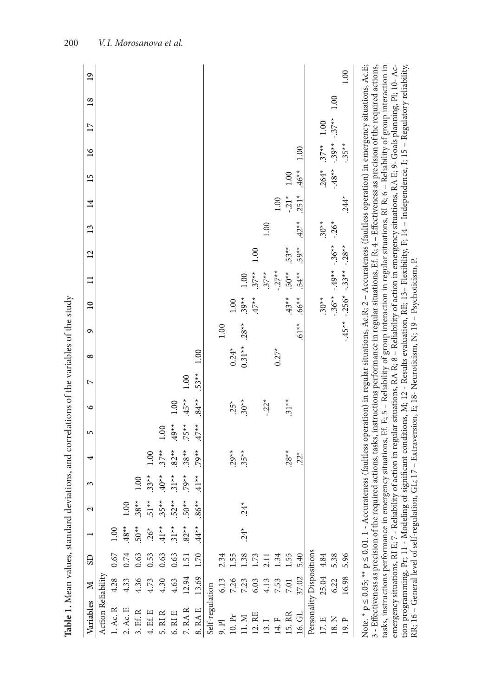| Variables                | $\geq$         | <b>GS</b>        |         | $\mathbf{c}$ | 3       | 4       | 5       | $\circ$  | $\triangleright$ | $\infty$ | $\circ$  | $\overline{10}$ | $\Box$  | 12      | 13       | 14      | 15       | 16      | 17      | 18   | 19   |
|--------------------------|----------------|------------------|---------|--------------|---------|---------|---------|----------|------------------|----------|----------|-----------------|---------|---------|----------|---------|----------|---------|---------|------|------|
| Action Reliability       |                |                  |         |              |         |         |         |          |                  |          |          |                 |         |         |          |         |          |         |         |      |      |
| $1.$ Ac. ${\bf R}$       | 4.28           | 0.67             | 0.00    |              |         |         |         |          |                  |          |          |                 |         |         |          |         |          |         |         |      |      |
| $2.$ Ac. E               | 4.33           | 0.74             | $.48**$ | 1.00         |         |         |         |          |                  |          |          |                 |         |         |          |         |          |         |         |      |      |
| $3.$ Ef. R               | 4.36           | 0.63             | $50**$  | $.38**$      | 1.00    |         |         |          |                  |          |          |                 |         |         |          |         |          |         |         |      |      |
| $4.$ Ef. $\rm E$         | 4.73           | 0.53             | $.26*$  | $51**$       | $.33**$ | 1.00    |         |          |                  |          |          |                 |         |         |          |         |          |         |         |      |      |
| $5.$ RI $\rm R$          | 4.30           | 0.63             | $41**$  | $35**$       | $40*$   | $37**$  | 0.001   |          |                  |          |          |                 |         |         |          |         |          |         |         |      |      |
| $6.$ RI E                | 4.63           | 0.63             | $.31**$ | $52**$       | $31**$  | $.82**$ | $.49**$ | 1.00     |                  |          |          |                 |         |         |          |         |          |         |         |      |      |
| 7.RAR                    | 12.94          | 1.51             | $.82**$ | $.50**$      | $.79**$ | $.38**$ | $.75**$ | $.45**$  | 00.1             |          |          |                 |         |         |          |         |          |         |         |      |      |
| $8.$ RA $\rm E$          | 13.69          | 1.70             | $44*$   | $-86*$       | $41**$  | $.79**$ | $47**$  | $.84**$  | $.53**$          | 1.00     |          |                 |         |         |          |         |          |         |         |      |      |
| Self-regulation          |                |                  |         |              |         |         |         |          |                  |          |          |                 |         |         |          |         |          |         |         |      |      |
| $9.$ Pl                  | 6.13           | 2.34             |         |              |         |         |         |          |                  |          | $1.00\,$ |                 |         |         |          |         |          |         |         |      |      |
| $10.\,\mathrm{Pr}$       |                | 1.55             |         |              |         | $.29**$ |         | $.25*$   |                  | $0.24*$  |          | 1.00            |         |         |          |         |          |         |         |      |      |
| $11 \ldotp M$            | 7.26           | $1.38$<br>$1.73$ | $24^*$  | $24*$        |         | $.35**$ |         | $.30**$  |                  | $0.31**$ | $.28**$  | $.39**$         | 1.00    |         |          |         |          |         |         |      |      |
| 12. RE                   | 6.03           |                  |         |              |         |         |         |          |                  |          |          | $47**$          | $.37**$ | 1.00    |          |         |          |         |         |      |      |
| 13.1                     |                | 2.11             |         |              |         |         |         | $-0.22*$ |                  |          |          |                 | $.37**$ |         | $1.00$   |         |          |         |         |      |      |
| $14. F$                  | $4.13$<br>7.53 | 1.34             |         |              |         |         |         |          |                  | $0.27*$  |          |                 | $-27*$  |         |          | 1.00    |          |         |         |      |      |
| 15. RR                   | 7.01           | 1.55             |         |              |         | $.28**$ |         | $.31**$  |                  |          |          | $43**$          | $.50**$ | $.53**$ |          | $-21*$  | 1.00     |         |         |      |      |
| $16.\,\mathrm{GL}$       | 37.02          | 5.40             |         |              |         | $22*$   |         |          |                  |          | $-16.5$  | $.66**$         | $.54**$ | $.59**$ | $.42**$  | $.251*$ | $.46**$  | 1.00    |         |      |      |
| Personality Dispositions |                |                  |         |              |         |         |         |          |                  |          |          |                 |         |         |          |         |          |         |         |      |      |
| 17. E                    | 25.04          | $4.84\,$         |         |              |         |         |         |          |                  |          |          | $.30**$         |         |         | $.30**$  |         | $.264*$  | $.37**$ | 1.00    |      |      |
| $18.\mathrm{N}$          | 6.22           | 5.38             |         |              |         |         |         |          |                  |          |          | $-36**$         | $+49*$  | $-36**$ | $-0.26*$ |         | $-48$ ** | $-39**$ | $-37**$ | 1.00 |      |
| $19.$ ${\rm P}$          | 16.98          | 5.96             |         |              |         |         |         |          |                  |          | $-45**$  | $-256*$         | $-33**$ | $-28$ * |          | $.244*$ |          | $-35**$ |         |      | 1.00 |

, a mean consideration of the material constrained and the set of the set of the set of the set of the set of the set of the set of the set of the set of the set of the set of the set of the set of the set of the set of th 3 - Effectiveness as precision of the required actions, tasks, instructions performance in regular situations, Ef. R; 4 – Effectiveness as precision of the required actions, tasks, instructions performance in emergency situations, Ef. E; 5 – Reliability of group interaction in regular situations, RI R; 6 – Reliability of group interaction in tion programming, Pr; 11 - Modeling of significant conditions, М; 12 - Results evaluation, RE; 13– Flexibility, F; 14 – Independence, I; 15 – Regulatory reliability, emergency situations, RI E; 7 - Reliability of action in regular situations, RA R; 8 – Reliability of action in emergency situations, RA E; 9- Goals planning, Pl; 10- Ac-RR; 16 – General level of self-regulation, GL; 17 – Extraversion, Е; 18- Neuroticism, N; 19 – Psychoticism, Р.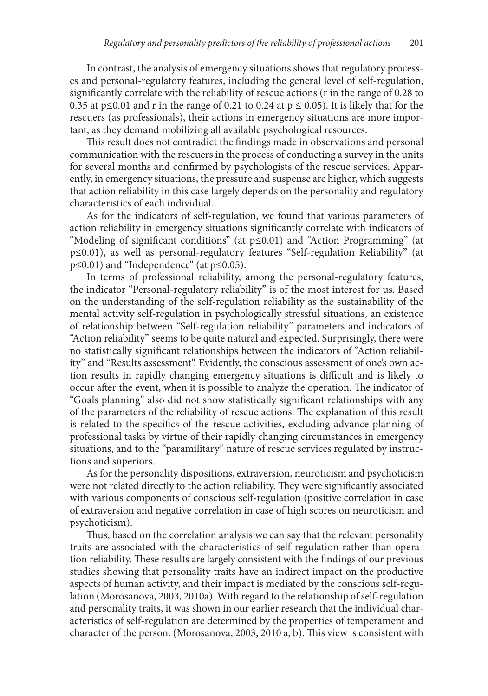In contrast, the analysis of emergency situations shows that regulatory processes and personal-regulatory features, including the general level of self-regulation, significantly correlate with the reliability of rescue actions (r in the range of 0.28 to 0.35 at p≤0.01 and r in the range of 0.21 to 0.24 at  $p \le 0.05$ ). It is likely that for the rescuers (as professionals), their actions in emergency situations are more important, as they demand mobilizing all available psychological resources.

This result does not contradict the findings made in observations and personal communication with the rescuers in the process of conducting a survey in the units for several months and confirmed by psychologists of the rescue services. Apparently, in emergency situations, the pressure and suspense are higher, which suggests that action reliability in this case largely depends on the personality and regulatory characteristics of each individual.

As for the indicators of self-regulation, we found that various parameters of action reliability in emergency situations significantly correlate with indicators of "Modeling of significant conditions" (at p≤0.01) and "Action Programming" (at p≤0.01), as well as personal-regulatory features "Self-regulation Reliability" (at p≤0.01) and "Independence" (at p≤0.05).

In terms of professional reliability, among the personal-regulatory features, the indicator "Personal-regulatory reliability" is of the most interest for us. Based on the understanding of the self-regulation reliability as the sustainability of the mental activity self-regulation in psychologically stressful situations, an existence of relationship between "Self-regulation reliability" parameters and indicators of "Action reliability" seems to be quite natural and expected. Surprisingly, there were no statistically significant relationships between the indicators of "Action reliability" and "Results assessment". Evidently, the conscious assessment of one's own action results in rapidly changing emergency situations is difficult and is likely to occur after the event, when it is possible to analyze the operation. The indicator of "Goals planning" also did not show statistically significant relationships with any of the parameters of the reliability of rescue actions. The explanation of this result is related to the specifics of the rescue activities, excluding advance planning of professional tasks by virtue of their rapidly changing circumstances in emergency situations, and to the "paramilitary" nature of rescue services regulated by instructions and superiors.

As for the personality dispositions, extraversion, neuroticism and psychoticism were not related directly to the action reliability. They were significantly associated with various components of conscious self-regulation (positive correlation in case of extraversion and negative correlation in case of high scores on neuroticism and psychoticism).

Thus, based on the correlation analysis we can say that the relevant personality traits are associated with the characteristics of self-regulation rather than operation reliability. These results are largely consistent with the findings of our previous studies showing that personality traits have an indirect impact on the productive aspects of human activity, and their impact is mediated by the conscious self-regulation (Morosanova, 2003, 2010a). With regard to the relationship of self-regulation and personality traits, it was shown in our earlier research that the individual characteristics of self-regulation are determined by the properties of temperament and character of the person. (Morosanova, 2003, 2010 a, b). This view is consistent with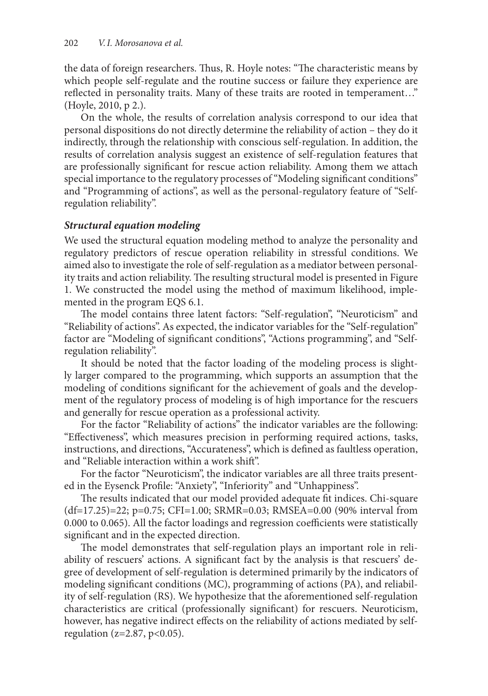the data of foreign researchers. Thus, R. Hoyle notes: "The characteristic means by which people self-regulate and the routine success or failure they experience are reflected in personality traits. Many of these traits are rooted in temperament…" (Hoyle, 2010, p 2.).

On the whole, the results of correlation analysis correspond to our idea that personal dispositions do not directly determine the reliability of action – they do it indirectly, through the relationship with conscious self-regulation. In addition, the results of correlation analysis suggest an existence of self-regulation features that are professionally significant for rescue action reliability. Among them we attach special importance to the regulatory processes of "Modeling significant conditions" and "Programming of actions", as well as the personal-regulatory feature of "Selfregulation reliability".

### *Structural equation modeling*

We used the structural equation modeling method to analyze the personality and regulatory predictors of rescue operation reliability in stressful conditions. We aimed also to investigate the role of self-regulation as a mediator between personality traits and action reliability. The resulting structural model is presented in Figure 1. We constructed the model using the method of maximum likelihood, implemented in the program EQS 6.1.

The model contains three latent factors: "Self-regulation", "Neuroticism" and "Reliability of actions". As expected, the indicator variables for the "Self-regulation" factor are "Modeling of significant conditions", "Actions programming", and "Selfregulation reliability".

It should be noted that the factor loading of the modeling process is slightly larger compared to the programming, which supports an assumption that the modeling of conditions significant for the achievement of goals and the development of the regulatory process of modeling is of high importance for the rescuers and generally for rescue operation as a professional activity.

For the factor "Reliability of actions" the indicator variables are the following: "Effectiveness", which measures precision in performing required actions, tasks, instructions, and directions, "Accurateness", which is defined as faultless operation, and "Reliable interaction within a work shift".

For the factor "Neuroticism", the indicator variables are all three traits presented in the Eysenck Profile: "Anxiety", "Inferiority" and "Unhappiness".

The results indicated that our model provided adequate fit indices. Chi-square (df=17.25)=22; р=0.75; CFI=1.00; SRMR=0.03; RMSEA=0.00 (90% interval from 0.000 to 0.065). All the factor loadings and regression coefficients were statistically significant and in the expected direction.

The model demonstrates that self-regulation plays an important role in reliability of rescuers' actions. A significant fact by the analysis is that rescuers' degree of development of self-regulation is determined primarily by the indicators of modeling significant conditions (MC), programming of actions (PA), and reliability of self-regulation (RS). We hypothesize that the aforementioned self-regulation characteristics are critical (professionally significant) for rescuers. Neuroticism, however, has negative indirect effects on the reliability of actions mediated by selfregulation ( $z=2.87$ ,  $p<0.05$ ).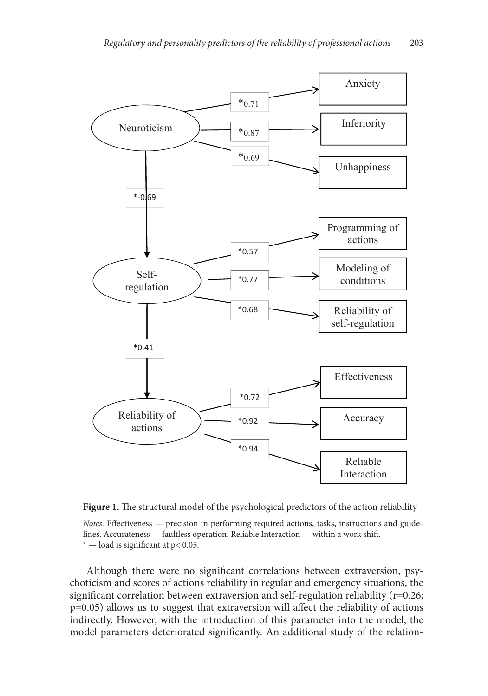

**Figure 1.** The structural model of the psychological predictors of the action reliability

*Notes.* Effectiveness — precision in performing required actions, tasks, instructions and guidelines. Accurateness — faultless operation. Reliable Interaction — within a work shift.  $*$  — load is significant at p< 0.05.

Although there were no significant correlations between extraversion, psychoticism and scores of actions reliability in regular and emergency situations, the significant correlation between extraversion and self-regulation reliability (r=0.26; р=0.05) allows us to suggest that extraversion will affect the reliability of actions indirectly. However, with the introduction of this parameter into the model, the model parameters deteriorated significantly. An additional study of the relation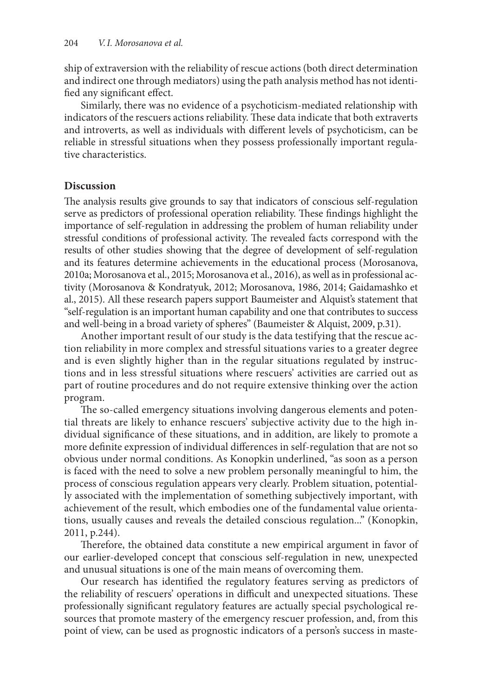ship of extraversion with the reliability of rescue actions (both direct determination and indirect one through mediators) using the path analysis method has not identified any significant effect.

Similarly, there was no evidence of a psychoticism-mediated relationship with indicators of the rescuers actions reliability. These data indicate that both extraverts and introverts, as well as individuals with different levels of psychoticism, can be reliable in stressful situations when they possess professionally important regulative characteristics.

### **Discussion**

The analysis results give grounds to say that indicators of conscious self-regulation serve as predictors of professional operation reliability. These findings highlight the importance of self-regulation in addressing the problem of human reliability under stressful conditions of professional activity. The revealed facts correspond with the results of other studies showing that the degree of development of self-regulation and its features determine achievements in the educational process (Morosanova, 2010a; Morosanova et al., 2015; Morosanova et al., 2016), as well as in professional activity (Morosanova & Kondratyuk, 2012; Morosanova, 1986, 2014; Gaidamashko et al., 2015). All these research papers support Baumeister and Alquist's statement that "self-regulation is an important human capability and one that contributes to success and well-being in a broad variety of spheres" (Baumeister & Alquist, 2009, p.31).

Another important result of our study is the data testifying that the rescue action reliability in more complex and stressful situations varies to a greater degree and is even slightly higher than in the regular situations regulated by instructions and in less stressful situations where rescuers' activities are carried out as part of routine procedures and do not require extensive thinking over the action program.

The so-called emergency situations involving dangerous elements and potential threats are likely to enhance rescuers' subjective activity due to the high individual significance of these situations, and in addition, are likely to promote a more definite expression of individual differences in self-regulation that are not so obvious under normal conditions. As Konopkin underlined, "as soon as a person is faced with the need to solve a new problem personally meaningful to him, the process of conscious regulation appears very clearly. Problem situation, potentially associated with the implementation of something subjectively important, with achievement of the result, which embodies one of the fundamental value orientations, usually causes and reveals the detailed conscious regulation..." (Konopkin, 2011, p.244).

Therefore, the obtained data constitute a new empirical argument in favor of our earlier-developed concept that conscious self-regulation in new, unexpected and unusual situations is one of the main means of overcoming them.

Our research has identified the regulatory features serving as predictors of the reliability of rescuers' operations in difficult and unexpected situations. These professionally significant regulatory features are actually special psychological resources that promote mastery of the emergency rescuer profession, and, from this point of view, can be used as prognostic indicators of a person's success in maste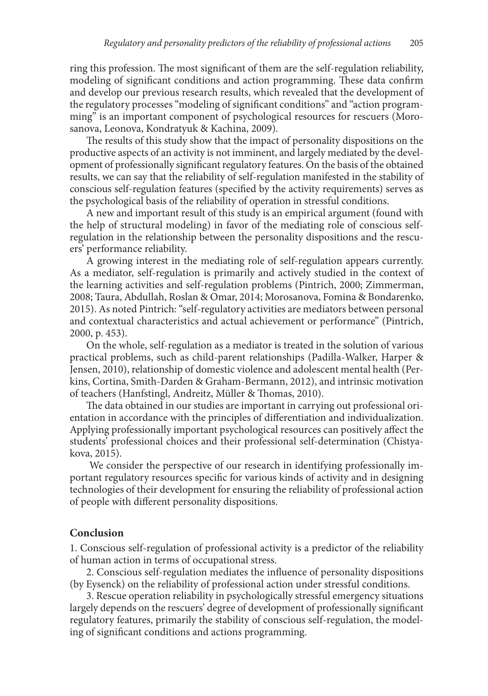ring this profession. The most significant of them are the self-regulation reliability, modeling of significant conditions and action programming. These data confirm and develop our previous research results, which revealed that the development of the regulatory processes "modeling of significant conditions" and "action programming" is an important component of psychological resources for rescuers (Morosanova, Leonova, Kondratyuk & Kachina, 2009).

The results of this study show that the impact of personality dispositions on the productive aspects of an activity is not imminent, and largely mediated by the development of professionally significant regulatory features. On the basis of the obtained results, we can say that the reliability of self-regulation manifested in the stability of conscious self-regulation features (specified by the activity requirements) serves as the psychological basis of the reliability of operation in stressful conditions.

A new and important result of this study is an empirical argument (found with the help of structural modeling) in favor of the mediating role of conscious selfregulation in the relationship between the personality dispositions and the rescuers' performance reliability.

A growing interest in the mediating role of self-regulation appears currently. As a mediator, self-regulation is primarily and actively studied in the context of the learning activities and self-regulation problems (Pintrich, 2000; Zimmerman, 2008; Taura, Abdullah, Roslan & Omar, 2014; Morosanova, Fomina & Bondarenko, 2015). As noted Pintrich: "self-regulatory activities are mediators between personal and contextual characteristics and actual achievement or performance" (Pintrich, 2000, p. 453).

On the whole, self-regulation as a mediator is treated in the solution of various practical problems, such as child-parent relationships (Padilla-Walker, Harper & Jensen, 2010), relationship of domestic violence and adolescent mental health (Perkins, Cortina, Smith-Darden & Graham-Bermann, 2012), and intrinsic motivation of teachers (Hanfstingl, Andreitz, Müller & Thomas, 2010).

The data obtained in our studies are important in carrying out professional orientation in accordance with the principles of differentiation and individualization. Applying professionally important psychological resources can positively affect the students' professional choices and their professional self-determination (Chistyakova, 2015).

 We consider the perspective of our research in identifying professionally important regulatory resources specific for various kinds of activity and in designing technologies of their development for ensuring the reliability of professional action of people with different personality dispositions.

#### **Conclusion**

1. Conscious self-regulation of professional activity is a predictor of the reliability of human action in terms of occupational stress.

2. Conscious self-regulation mediates the influence of personality dispositions (by Eysenck) on the reliability of professional action under stressful conditions.

3. Rescue operation reliability in psychologically stressful emergency situations largely depends on the rescuers' degree of development of professionally significant regulatory features, primarily the stability of conscious self-regulation, the modeling of significant conditions and actions programming.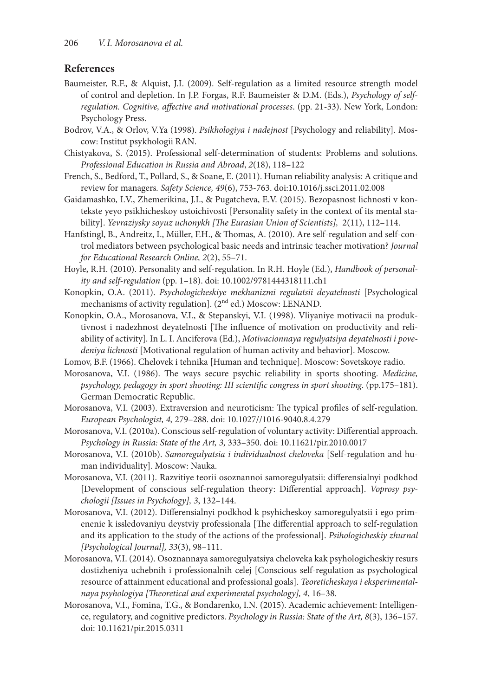#### **References**

- Baumeister, R.F., & Alquist, J.I. (2009). Self-regulation as a limited resource strength model of control and depletion. In J.P. Forgas, R.F. Baumeister & D.M. (Eds.), *Psychology of selfregulation. Cognitive, affective and motivational processes*. (pp. 21-33). New York, London: Psychology Press.
- Bodrov, V.A., & Orlov, V.Ya (1998). *Psikhologiya i nadejnost* [Psychology and reliability]. Moscow: Institut psykhologii RAN.
- Chistyakova, S. (2015). Professional self-determination of students: Problems and solutions*. Professional Education in Russia and Abroad*, *2*(18), 118–122
- French, S., Bedford, T., Pollard, S., & Soane, E. (2011). Human reliability analysis: A critique and review for managers*. Safety Science, 49*(6), 753-763. doi:10.1016/j.ssci.2011.02.008
- Gaidamashko, I.V., Zhemerikina, J.I., & Pugatcheva, E.V. (2015). Bezopasnost lichnosti v kontekste yeyo psikhicheskoy ustoichivosti [Personality safety in the context of its mental stability]. *Yevraziysky soyuz uchonykh [The Eurasian Union of Scientists],*  2(11), 112–114.
- Hanfstingl, B., Andreitz, I., Müller, F.H., & Thomas, A. (2010). Are self-regulation and self-control mediators between psychological basic needs and intrinsic teacher motivation? *Journal for Educational Research Online, 2*(2), 55–71.
- Hoyle, R.H. (2010). Personality and self-regulation. In R.H. Hoyle (Ed.), *Handbook of personality and self-regulation* (pp. 1–18). doi: 10.1002/9781444318111.ch1
- Konopkin, O.A. (2011). *Psychologicheskiye mekhanizmi regulatsii deyatelnosti* [Psychological mechanisms of activity regulation]. (2nd ed.) Moscow: LENAND.
- Konopkin, O.A., Morosanova, V.I., & Stepanskyi, V.I. (1998). Vliyaniye motivacii na produktivnost i nadezhnost deyatelnosti [The influence of motivation on productivity and reliability of activity]. In L. I. Anciferova (Ed.), *Motivacionnaya regulyatsiya deyatelnosti i povedeniya lichnosti* [Motivational regulation of human activity and behavior]. Moscow.
- Lomov, B.F. (1966). Chelovek i tehnika [Human and technique]. Мoscow: Sovetskoye radio.
- Morosanova, V.I. (1986). The ways secure psychic reliability in sports shooting. *Medicine, psychology, pedagogy in sport shooting: III scientific congress in sport shooting*. (pp.175–181). German Democratic Republic.
- Morosanova, V.I. (2003). Extraversion and neuroticism: The typical profiles of self-regulation. *European Psychologist, 4,* 279–288. doi: 10.1027//1016-9040.8.4.279
- Morosanova, V.I. (2010a). Conscious self-regulation of voluntary activity: Differential approach. *Psychology in Russia: State of the Art, 3,* 333–350. doi: 10.11621/pir.2010.0017
- Morosanova, V.I. (2010b). *Samoregulyatsia i individualnost cheloveka* [Self-regulation and human individuality]. Moscow: Nauka.
- Morosanova, V.I. (2011). Razvitiye teorii osoznannoi samoregulyatsii: differensialnyi podkhod [Development of conscious self-regulation theory: Differential approach]. *Voprosy psychologii [Issues in Psychology], 3*, 132–144.
- Morosanova, V.I. (2012). Differensialnyi podkhod k psyhicheskoy samoregulyatsii i ego primenenie k issledovaniyu deystviy professionala [The differential approach to self-regulation and its application to the study of the actions of the professional]. *Psihologicheskiy zhurnal [Psychological Journal], 33*(3), 98–111.
- Morosanova, V.I. (2014). Osoznannaya samoregulyatsiya cheloveka kak psyhologicheskiy resurs dostizheniya uchebnih i professionalnih celej [Conscious self-regulation as psychological resource of attainment educational and professional goals]. *Teoreticheskaya i eksperimentalnaya psyhologiya [Theoretical and experimental psychology], 4*, 16–38.
- Morosanova, V.I., Fomina, T.G., & Bondarenko, I.N. (2015). Academic achievement: Intelligence, regulatory, and cognitive predictors. *Psychology in Russia: State of the Art, 8*(3), 136–157. doi: 10.11621/pir.2015.0311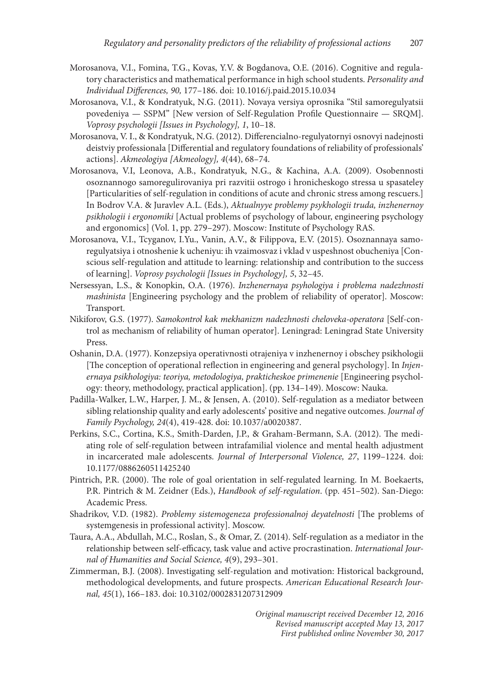- Morosanova, V.I., Fomina, T.G., Kovas, Y.V. & Bogdanova, O.E. (2016). Cognitive and regulatory characteristics and mathematical performance in high school students. *Personality and Individual Differences, 90,* 177–186. doi: 10.1016/j.paid.2015.10.034
- Morosanova, V.I., & Kondratyuk, N.G. (2011). Novaya versiya oprosnika "Stil samoregulyatsii povedeniya — SSPM" [New version of Self-Regulation Profile Questionnaire — SRQM]. *Voprosy psychologii [Issues in Psychology], 1*, 10–18.
- Morosanova, V. I., & Kondratyuk, N.G. (2012). Differencialno-regulyatornyi osnovyi nadejnosti deistviy professionala [Differential and regulatory foundations of reliability of professionals' actions]. *Akmeologiya [Akmeology], 4*(44), 68–74.
- Morosanova, V.I, Leonova, A.B., Kondratyuk, N.G., & Kachina, A.A. (2009). Osobennosti osoznannogo samoregulirovaniya pri razvitii ostrogo i hronicheskogo stressa u spasateley [Particularities of self-regulation in conditions of acute and chronic stress among rescuers.] In Bodrov V.A. & Juravlev A.L. (Eds.), *Aktualnyye problemy psykhologii truda, inzhenernoy psikhologii i ergonomiki* [Actual problems of psychology of labour, engineering psychology and ergonomics] (Vol. 1, pp. 279–297). Moscow: Institute of Psychology RAS.
- Morosanova, V.I., Tcyganov, I.Yu., Vanin, A.V., & Filippova, E.V. (2015). Osoznannaya samoregulyatsiya i otnoshenie k ucheniyu: ih vzaimosvaz i vklad v uspeshnost obucheniya [Conscious self-regulation and attitude to learning: relationship and contribution to the success of learning]. *Voprosy psychologii [Issues in Psychology], 5*, 32–45.
- Nersessyan, L.S., & Konopkin, O.A. (1976). *Inzhenernaya psyhologiya i problema nadezhnosti mashinista* [Engineering psychology and the problem of reliability of operator]. Moscow: Transport.
- Nikiforov, G.S. (1977). *Samokontrol kak mekhanizm nadezhnosti cheloveka-operatora* [Self-control as mechanism of reliability of human operator]. Leningrad: Leningrad State University Press.
- Oshanin, D.A. (1977). Konzepsiya operativnosti otrajeniya v inzhenernoy i obschey psikhologii [The conception of operational reflection in engineering and general psychology]. In *Injenernaya psikhologiya: teoriya, metodologiya, prakticheskoe primenenie* [Engineering psychology: theory, methodology, practical application]. (pp. 134–149). Мoscow: Nauka.
- Padilla-Walker, L.W., Harper, J. M., & Jensen, A. (2010). Self-regulation as a mediator between sibling relationship quality and early adolescents' positive and negative outcomes. *Journal of Family Psychology, 24*(4), 419-428. doi: 10.1037/a0020387.
- Perkins, S.C., Cortina, K.S., Smith-Darden, J.P., & Graham-Bermann, S.A. (2012). The mediating role of self-regulation between intrafamilial violence and mental health adjustment in incarcerated male adolescents. *Journal of Interpersonal Violence, 27*, 1199–1224. doi: 10.1177/0886260511425240
- Pintrich, P.R. (2000). The role of goal orientation in self-regulated learning. In M. Boekaerts, P.R. Pintrich & M. Zeidner (Eds.), *Handbook of self-regulation*. (pp. 451–502). San-Diego: Academic Press.
- Shadrikov, V.D. (1982). *Problemy sistemogeneza professionalnoj deyatelnosti* [The problems of systemgenesis in professional activity]. Moscow.
- Taura, A.A., Abdullah, M.C., Roslan, S., & Omar, Z. (2014). Self-regulation as a mediator in the relationship between self-efficacy, task value and active procrastination. *International Journal of Humanities and Social Science, 4*(9), 293–301.
- Zimmerman, B.J. (2008). Investigating self-regulation and motivation: Historical background, methodological developments, and future prospects. *American Educational Research Journal, 45*(1), 166–183. doi: 10.3102/0002831207312909

*Original manuscript received December 12, 2016 Revised manuscript accepted May 13, 2017 First published online November 30, 2017*